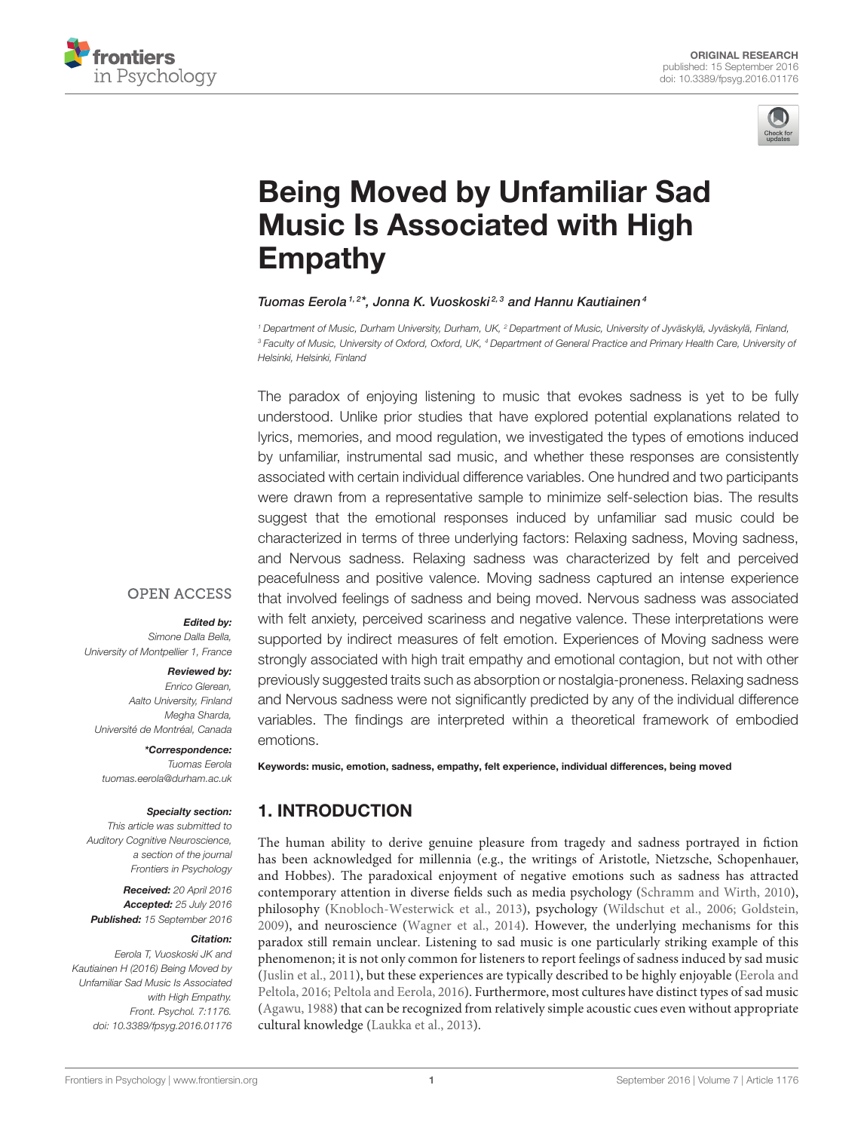



# [Being Moved by Unfamiliar Sad](http://journal.frontiersin.org/article/10.3389/fpsyg.2016.01176/abstract) Music Is Associated with High Empathy

#### [Tuomas Eerola](http://loop.frontiersin.org/people/68587/overview)<sup>1,2\*</sup>, [Jonna K. Vuoskoski](http://loop.frontiersin.org/people/87906/overview)<sup>2,3</sup> and Hannu Kautiainen<sup>4</sup>

<sup>1</sup> Department of Music, Durham University, Durham, UK, <sup>2</sup> Department of Music, University of Jyväskylä, Jyväskylä, Finland, <sup>3</sup> Faculty of Music, University of Oxford, Oxford, UK, <sup>4</sup> Department of General Practice and Primary Health Care, University of Helsinki, Helsinki, Finland

The paradox of enjoying listening to music that evokes sadness is yet to be fully understood. Unlike prior studies that have explored potential explanations related to lyrics, memories, and mood regulation, we investigated the types of emotions induced by unfamiliar, instrumental sad music, and whether these responses are consistently associated with certain individual difference variables. One hundred and two participants were drawn from a representative sample to minimize self-selection bias. The results suggest that the emotional responses induced by unfamiliar sad music could be characterized in terms of three underlying factors: Relaxing sadness, Moving sadness, and Nervous sadness. Relaxing sadness was characterized by felt and perceived peacefulness and positive valence. Moving sadness captured an intense experience that involved feelings of sadness and being moved. Nervous sadness was associated with felt anxiety, perceived scariness and negative valence. These interpretations were supported by indirect measures of felt emotion. Experiences of Moving sadness were strongly associated with high trait empathy and emotional contagion, but not with other previously suggested traits such as absorption or nostalgia-proneness. Relaxing sadness and Nervous sadness were not significantly predicted by any of the individual difference variables. The findings are interpreted within a theoretical framework of embodied emotions.

# **OPEN ACCESS**

#### Edited by:

Simone Dalla Bella, University of Montpellier 1, France

#### Reviewed by:

Enrico Glerean, Aalto University, Finland Megha Sharda, Université de Montréal, Canada

\*Correspondence: Tuomas Eerola [tuomas.eerola@durham.ac.uk](mailto:tuomas.eerola@durham.ac.uk)

#### Specialty section:

This article was submitted to Auditory Cognitive Neuroscience, a section of the journal Frontiers in Psychology

Received: 20 April 2016 Accepted: 25 July 2016 Published: 15 September 2016

#### Citation:

Eerola T, Vuoskoski JK and Kautiainen H (2016) Being Moved by Unfamiliar Sad Music Is Associated with High Empathy. Front. Psychol. 7:1176. doi: [10.3389/fpsyg.2016.01176](http://dx.doi.org/10.3389/fpsyg.2016.01176)

Keywords: music, emotion, sadness, empathy, felt experience, individual differences, being moved

# 1. INTRODUCTION

The human ability to derive genuine pleasure from tragedy and sadness portrayed in fiction has been acknowledged for millennia (e.g., the writings of Aristotle, Nietzsche, Schopenhauer, and Hobbes). The paradoxical enjoyment of negative emotions such as sadness has attracted contemporary attention in diverse fields such as media psychology [\(Schramm and Wirth, 2010\)](#page-11-0), philosophy [\(Knobloch-Westerwick et al., 2013\)](#page-10-0), psychology [\(Wildschut et al., 2006;](#page-11-1) [Goldstein,](#page-10-1) [2009\)](#page-10-1), and neuroscience [\(Wagner et al., 2014\)](#page-11-2). However, the underlying mechanisms for this paradox still remain unclear. Listening to sad music is one particularly striking example of this phenomenon; it is not only common for listeners to report feelings of sadness induced by sad music [\(Juslin et al., 2011\)](#page-10-2), but these experiences are typically described to be highly enjoyable (Eerola and Peltola, [2016;](#page-9-0) [Peltola and Eerola, 2016\)](#page-10-3). Furthermore, most cultures have distinct types of sad music [\(Agawu, 1988\)](#page-9-1) that can be recognized from relatively simple acoustic cues even without appropriate cultural knowledge [\(Laukka et al., 2013\)](#page-10-4).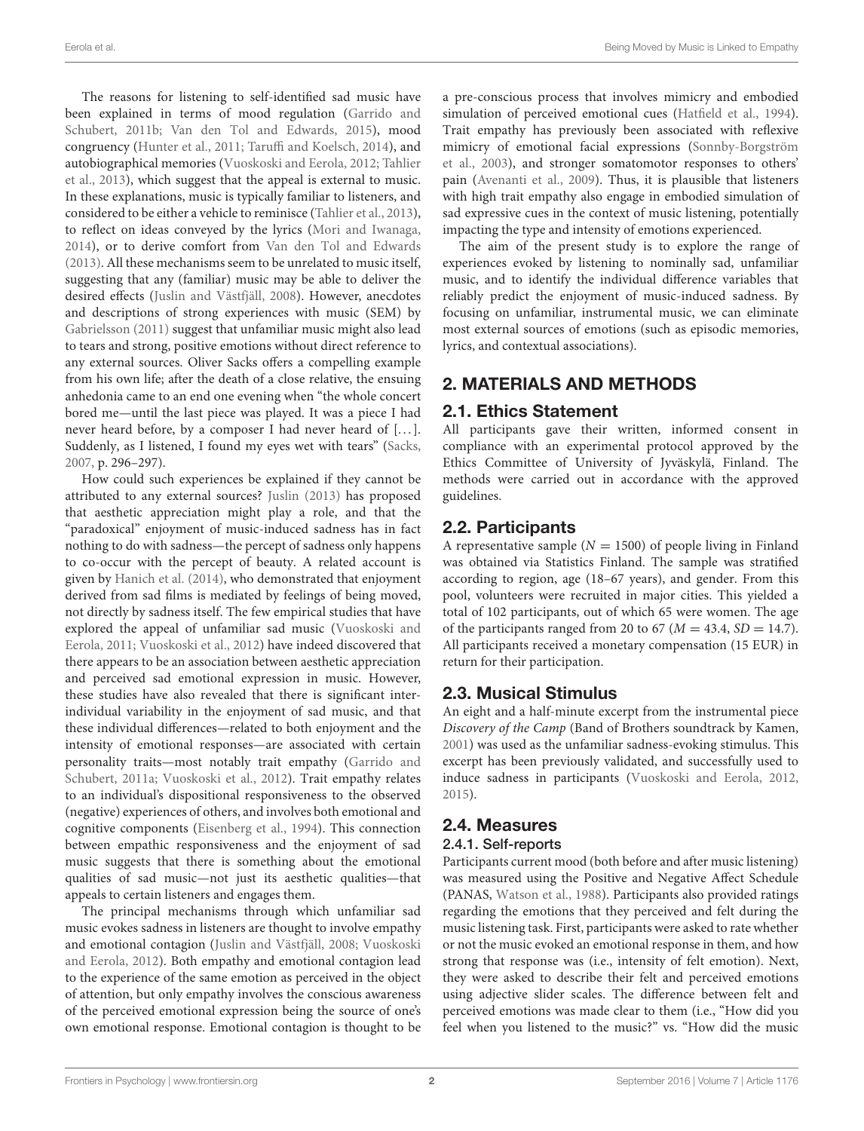The reasons for listening to self-identified sad music have been explained in terms of mood regulation (Garrido and Schubert, [2011b;](#page-10-5) [Van den Tol and Edwards, 2015\)](#page-11-3), mood congruency [\(Hunter et al., 2011;](#page-10-6) [Taruffi and Koelsch, 2014\)](#page-11-4), and autobiographical memories [\(Vuoskoski and Eerola, 2012;](#page-11-5) Tahlier et al., [2013\)](#page-11-6), which suggest that the appeal is external to music. In these explanations, music is typically familiar to listeners, and considered to be either a vehicle to reminisce [\(Tahlier et al., 2013\)](#page-11-6), to reflect on ideas conveyed by the lyrics [\(Mori and Iwanaga,](#page-10-7) [2014\)](#page-10-7), or to derive comfort from [Van den Tol and Edwards](#page-11-7) [\(2013\)](#page-11-7). All these mechanisms seem to be unrelated to music itself, suggesting that any (familiar) music may be able to deliver the desired effects [\(Juslin and Västfjäll, 2008\)](#page-10-8). However, anecdotes and descriptions of strong experiences with music (SEM) by [Gabrielsson \(2011\)](#page-10-9) suggest that unfamiliar music might also lead to tears and strong, positive emotions without direct reference to any external sources. Oliver Sacks offers a compelling example from his own life; after the death of a close relative, the ensuing anhedonia came to an end one evening when "the whole concert bored me—until the last piece was played. It was a piece I had never heard before, by a composer I had never heard of [...]. Suddenly, as I listened, I found my eyes wet with tears" [\(Sacks,](#page-11-8) [2007,](#page-11-8) p. 296–297).

How could such experiences be explained if they cannot be attributed to any external sources? [Juslin \(2013\)](#page-10-10) has proposed that aesthetic appreciation might play a role, and that the "paradoxical" enjoyment of music-induced sadness has in fact nothing to do with sadness—the percept of sadness only happens to co-occur with the percept of beauty. A related account is given by [Hanich et al. \(2014\)](#page-10-11), who demonstrated that enjoyment derived from sad films is mediated by feelings of being moved, not directly by sadness itself. The few empirical studies that have explored the appeal of unfamiliar sad music (Vuoskoski and Eerola, [2011;](#page-11-9) [Vuoskoski et al., 2012\)](#page-11-10) have indeed discovered that there appears to be an association between aesthetic appreciation and perceived sad emotional expression in music. However, these studies have also revealed that there is significant interindividual variability in the enjoyment of sad music, and that these individual differences—related to both enjoyment and the intensity of emotional responses—are associated with certain personality traits—most notably trait empathy (Garrido and Schubert, [2011a;](#page-10-12) [Vuoskoski et al., 2012\)](#page-11-10). Trait empathy relates to an individual's dispositional responsiveness to the observed (negative) experiences of others, and involves both emotional and cognitive components [\(Eisenberg et al., 1994\)](#page-10-13). This connection between empathic responsiveness and the enjoyment of sad music suggests that there is something about the emotional qualities of sad music—not just its aesthetic qualities—that appeals to certain listeners and engages them.

The principal mechanisms through which unfamiliar sad music evokes sadness in listeners are thought to involve empathy and emotional contagion [\(Juslin and Västfjäll, 2008;](#page-10-8) Vuoskoski and Eerola, [2012\)](#page-11-5). Both empathy and emotional contagion lead to the experience of the same emotion as perceived in the object of attention, but only empathy involves the conscious awareness of the perceived emotional expression being the source of one's own emotional response. Emotional contagion is thought to be a pre-conscious process that involves mimicry and embodied simulation of perceived emotional cues [\(Hatfield et al., 1994\)](#page-10-14). Trait empathy has previously been associated with reflexive mimicry of emotional facial expressions (Sonnby-Borgström et al., [2003\)](#page-11-11), and stronger somatomotor responses to others' pain [\(Avenanti et al., 2009\)](#page-9-2). Thus, it is plausible that listeners with high trait empathy also engage in embodied simulation of sad expressive cues in the context of music listening, potentially impacting the type and intensity of emotions experienced.

The aim of the present study is to explore the range of experiences evoked by listening to nominally sad, unfamiliar music, and to identify the individual difference variables that reliably predict the enjoyment of music-induced sadness. By focusing on unfamiliar, instrumental music, we can eliminate most external sources of emotions (such as episodic memories, lyrics, and contextual associations).

# 2. MATERIALS AND METHODS

# 2.1. Ethics Statement

All participants gave their written, informed consent in compliance with an experimental protocol approved by the Ethics Committee of University of Jyväskylä, Finland. The methods were carried out in accordance with the approved guidelines.

# 2.2. Participants

A representative sample  $(N = 1500)$  of people living in Finland was obtained via Statistics Finland. The sample was stratified according to region, age (18–67 years), and gender. From this pool, volunteers were recruited in major cities. This yielded a total of 102 participants, out of which 65 were women. The age of the participants ranged from 20 to 67 ( $M = 43.4$ ,  $SD = 14.7$ ). All participants received a monetary compensation (15 EUR) in return for their participation.

# 2.3. Musical Stimulus

An eight and a half-minute excerpt from the instrumental piece Discovery of the Camp (Band of Brothers soundtrack by Kamen, [2001\)](#page-10-15) was used as the unfamiliar sadness-evoking stimulus. This excerpt has been previously validated, and successfully used to induce sadness in participants [\(Vuoskoski and Eerola, 2012,](#page-11-5) [2015\)](#page-11-12).

# 2.4. Measures

## 2.4.1. Self-reports

Participants current mood (both before and after music listening) was measured using the Positive and Negative Affect Schedule (PANAS, [Watson et al., 1988\)](#page-11-13). Participants also provided ratings regarding the emotions that they perceived and felt during the music listening task. First, participants were asked to rate whether or not the music evoked an emotional response in them, and how strong that response was (i.e., intensity of felt emotion). Next, they were asked to describe their felt and perceived emotions using adjective slider scales. The difference between felt and perceived emotions was made clear to them (i.e., "How did you feel when you listened to the music?" vs. "How did the music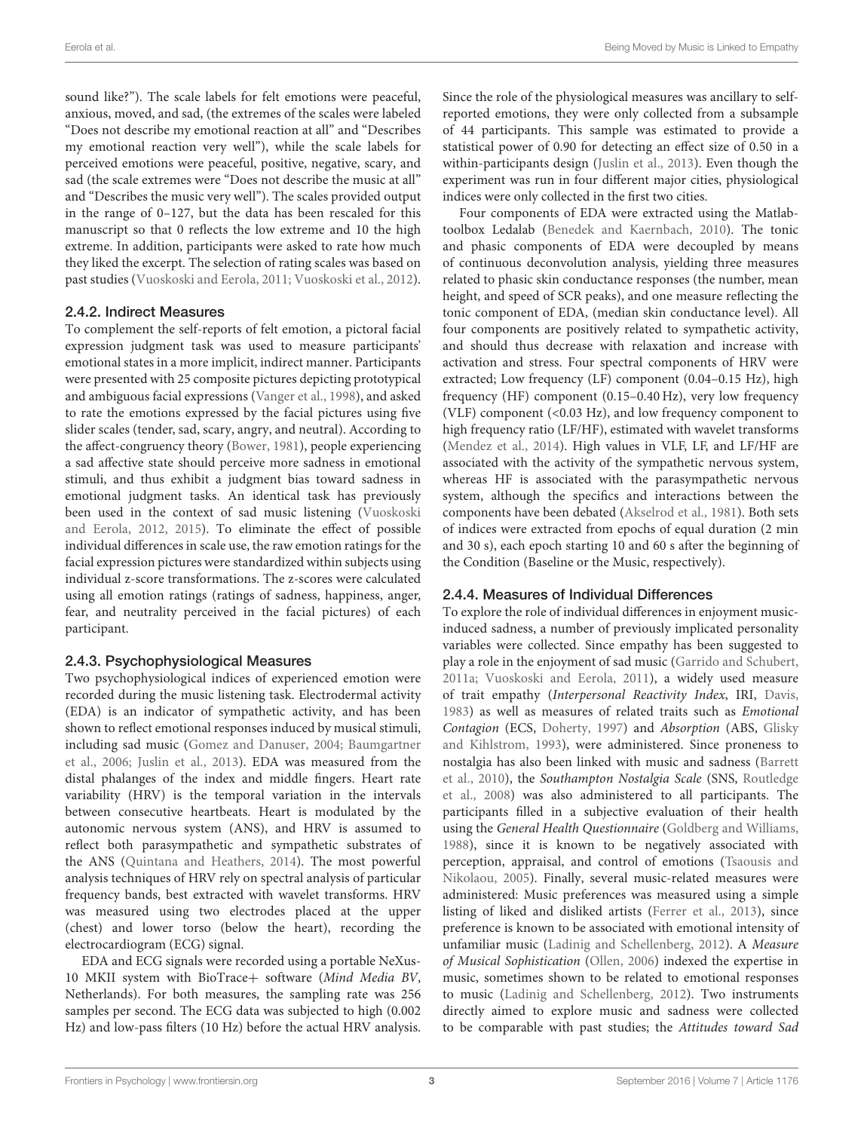sound like?"). The scale labels for felt emotions were peaceful, anxious, moved, and sad, (the extremes of the scales were labeled "Does not describe my emotional reaction at all" and "Describes my emotional reaction very well"), while the scale labels for perceived emotions were peaceful, positive, negative, scary, and sad (the scale extremes were "Does not describe the music at all" and "Describes the music very well"). The scales provided output in the range of 0–127, but the data has been rescaled for this manuscript so that 0 reflects the low extreme and 10 the high extreme. In addition, participants were asked to rate how much they liked the excerpt. The selection of rating scales was based on past studies [\(Vuoskoski and Eerola, 2011;](#page-11-9) [Vuoskoski et al., 2012\)](#page-11-10).

#### 2.4.2. Indirect Measures

To complement the self-reports of felt emotion, a pictoral facial expression judgment task was used to measure participants' emotional states in a more implicit, indirect manner. Participants were presented with 25 composite pictures depicting prototypical and ambiguous facial expressions [\(Vanger et al., 1998\)](#page-11-14), and asked to rate the emotions expressed by the facial pictures using five slider scales (tender, sad, scary, angry, and neutral). According to the affect-congruency theory [\(Bower, 1981\)](#page-9-3), people experiencing a sad affective state should perceive more sadness in emotional stimuli, and thus exhibit a judgment bias toward sadness in emotional judgment tasks. An identical task has previously been used in the context of sad music listening (Vuoskoski and Eerola, [2012,](#page-11-5) [2015\)](#page-11-12). To eliminate the effect of possible individual differences in scale use, the raw emotion ratings for the facial expression pictures were standardized within subjects using individual z-score transformations. The z-scores were calculated using all emotion ratings (ratings of sadness, happiness, anger, fear, and neutrality perceived in the facial pictures) of each participant.

#### 2.4.3. Psychophysiological Measures

Two psychophysiological indices of experienced emotion were recorded during the music listening task. Electrodermal activity (EDA) is an indicator of sympathetic activity, and has been shown to reflect emotional responses induced by musical stimuli, including sad music [\(Gomez and Danuser, 2004;](#page-10-16) Baumgartner et al., [2006;](#page-9-4) [Juslin et al., 2013\)](#page-10-17). EDA was measured from the distal phalanges of the index and middle fingers. Heart rate variability (HRV) is the temporal variation in the intervals between consecutive heartbeats. Heart is modulated by the autonomic nervous system (ANS), and HRV is assumed to reflect both parasympathetic and sympathetic substrates of the ANS [\(Quintana and Heathers, 2014\)](#page-10-18). The most powerful analysis techniques of HRV rely on spectral analysis of particular frequency bands, best extracted with wavelet transforms. HRV was measured using two electrodes placed at the upper (chest) and lower torso (below the heart), recording the electrocardiogram (ECG) signal.

EDA and ECG signals were recorded using a portable NeXus-10 MKII system with BioTrace+ software (Mind Media BV, Netherlands). For both measures, the sampling rate was 256 samples per second. The ECG data was subjected to high (0.002 Hz) and low-pass filters (10 Hz) before the actual HRV analysis. Since the role of the physiological measures was ancillary to selfreported emotions, they were only collected from a subsample of 44 participants. This sample was estimated to provide a statistical power of 0.90 for detecting an effect size of 0.50 in a within-participants design [\(Juslin et al., 2013\)](#page-10-17). Even though the experiment was run in four different major cities, physiological indices were only collected in the first two cities.

Four components of EDA were extracted using the Matlabtoolbox Ledalab [\(Benedek and Kaernbach, 2010\)](#page-9-5). The tonic and phasic components of EDA were decoupled by means of continuous deconvolution analysis, yielding three measures related to phasic skin conductance responses (the number, mean height, and speed of SCR peaks), and one measure reflecting the tonic component of EDA, (median skin conductance level). All four components are positively related to sympathetic activity, and should thus decrease with relaxation and increase with activation and stress. Four spectral components of HRV were extracted; Low frequency (LF) component (0.04–0.15 Hz), high frequency (HF) component (0.15–0.40 Hz), very low frequency (VLF) component (<0.03 Hz), and low frequency component to high frequency ratio (LF/HF), estimated with wavelet transforms [\(Mendez et al., 2014\)](#page-10-19). High values in VLF, LF, and LF/HF are associated with the activity of the sympathetic nervous system, whereas HF is associated with the parasympathetic nervous system, although the specifics and interactions between the components have been debated [\(Akselrod et al., 1981\)](#page-9-6). Both sets of indices were extracted from epochs of equal duration (2 min and 30 s), each epoch starting 10 and 60 s after the beginning of the Condition (Baseline or the Music, respectively).

# 2.4.4. Measures of Individual Differences

To explore the role of individual differences in enjoyment musicinduced sadness, a number of previously implicated personality variables were collected. Since empathy has been suggested to play a role in the enjoyment of sad music [\(Garrido and Schubert,](#page-10-12) [2011a;](#page-10-12) [Vuoskoski and Eerola, 2011\)](#page-11-9), a widely used measure of trait empathy (Interpersonal Reactivity Index, IRI, [Davis,](#page-9-7) [1983\)](#page-9-7) as well as measures of related traits such as Emotional Contagion (ECS, [Doherty, 1997\)](#page-9-8) and Absorption (ABS, Glisky and Kihlstrom, [1993\)](#page-10-20), were administered. Since proneness to nostalgia has also been linked with music and sadness (Barrett et al., [2010\)](#page-9-9), the Southampton Nostalgia Scale (SNS, Routledge et al., [2008\)](#page-11-15) was also administered to all participants. The participants filled in a subjective evaluation of their health using the General Health Questionnaire [\(Goldberg and Williams,](#page-10-21) [1988\)](#page-10-21), since it is known to be negatively associated with perception, appraisal, and control of emotions (Tsaousis and Nikolaou, [2005\)](#page-11-16). Finally, several music-related measures were administered: Music preferences was measured using a simple listing of liked and disliked artists [\(Ferrer et al., 2013\)](#page-10-22), since preference is known to be associated with emotional intensity of unfamiliar music [\(Ladinig and Schellenberg, 2012\)](#page-10-23). A Measure of Musical Sophistication [\(Ollen, 2006\)](#page-10-24) indexed the expertise in music, sometimes shown to be related to emotional responses to music [\(Ladinig and Schellenberg, 2012\)](#page-10-23). Two instruments directly aimed to explore music and sadness were collected to be comparable with past studies; the Attitudes toward Sad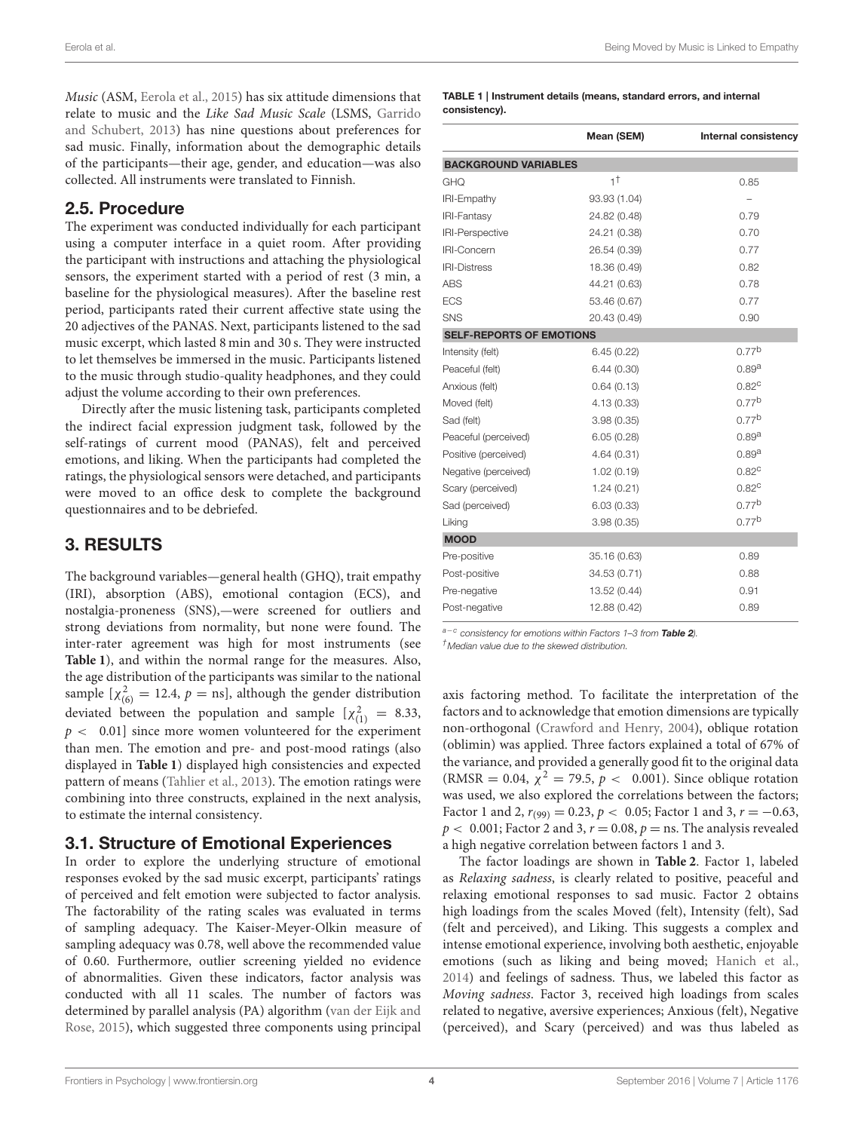Music (ASM, [Eerola et al., 2015\)](#page-9-10) has six attitude dimensions that relate to music and the Like Sad Music Scale (LSMS, Garrido and Schubert, [2013\)](#page-10-25) has nine questions about preferences for sad music. Finally, information about the demographic details of the participants—their age, gender, and education—was also collected. All instruments were translated to Finnish.

## 2.5. Procedure

The experiment was conducted individually for each participant using a computer interface in a quiet room. After providing the participant with instructions and attaching the physiological sensors, the experiment started with a period of rest (3 min, a baseline for the physiological measures). After the baseline rest period, participants rated their current affective state using the 20 adjectives of the PANAS. Next, participants listened to the sad music excerpt, which lasted 8 min and 30 s. They were instructed to let themselves be immersed in the music. Participants listened to the music through studio-quality headphones, and they could adjust the volume according to their own preferences.

Directly after the music listening task, participants completed the indirect facial expression judgment task, followed by the self-ratings of current mood (PANAS), felt and perceived emotions, and liking. When the participants had completed the ratings, the physiological sensors were detached, and participants were moved to an office desk to complete the background questionnaires and to be debriefed.

# 3. RESULTS

The background variables—general health (GHQ), trait empathy (IRI), absorption (ABS), emotional contagion (ECS), and nostalgia-proneness (SNS),—were screened for outliers and strong deviations from normality, but none were found. The inter-rater agreement was high for most instruments (see **[Table 1](#page-3-0)**), and within the normal range for the measures. Also, the age distribution of the participants was similar to the national sample  $[\chi^2_{(6)} = 12.4, p = \text{ns}]$ , although the gender distribution deviated between the population and sample  $[\chi^2_{(1)} = 8.33,$  $p < 0.01$ ] since more women volunteered for the experiment than men. The emotion and pre- and post-mood ratings (also displayed in **[Table 1](#page-3-0)**) displayed high consistencies and expected pattern of means [\(Tahlier et al., 2013\)](#page-11-6). The emotion ratings were combining into three constructs, explained in the next analysis, to estimate the internal consistency.

## 3.1. Structure of Emotional Experiences

In order to explore the underlying structure of emotional responses evoked by the sad music excerpt, participants' ratings of perceived and felt emotion were subjected to factor analysis. The factorability of the rating scales was evaluated in terms of sampling adequacy. The Kaiser-Meyer-Olkin measure of sampling adequacy was 0.78, well above the recommended value of 0.60. Furthermore, outlier screening yielded no evidence of abnormalities. Given these indicators, factor analysis was conducted with all 11 scales. The number of factors was determined by parallel analysis (PA) algorithm (van der Eijk and Rose, [2015\)](#page-11-17), which suggested three components using principal

#### <span id="page-3-0"></span>TABLE 1 | Instrument details (means, standard errors, and internal consistency).

|                                 | Mean (SEM)    | Internal consistency |  |  |  |  |  |
|---------------------------------|---------------|----------------------|--|--|--|--|--|
| <b>BACKGROUND VARIABLES</b>     |               |                      |  |  |  |  |  |
| GHQ                             | $1^{\dagger}$ | 0.85                 |  |  |  |  |  |
| <b>IRI-Empathy</b>              | 93.93 (1.04)  |                      |  |  |  |  |  |
| <b>IRI-Fantasy</b>              | 24.82 (0.48)  | 0.79                 |  |  |  |  |  |
| <b>IRI-Perspective</b>          | 24.21 (0.38)  | 0.70                 |  |  |  |  |  |
| <b>IRI-Concern</b>              | 26.54 (0.39)  | 0.77                 |  |  |  |  |  |
| <b>IRI-Distress</b>             | 18.36 (0.49)  | 0.82                 |  |  |  |  |  |
| <b>ABS</b>                      | 44.21 (0.63)  | 0.78                 |  |  |  |  |  |
| <b>ECS</b>                      | 53.46 (0.67)  | 0.77                 |  |  |  |  |  |
| SNS                             | 20.43 (0.49)  | 0.90                 |  |  |  |  |  |
| <b>SELF-REPORTS OF EMOTIONS</b> |               |                      |  |  |  |  |  |
| Intensity (felt)                | 6.45(0.22)    | 0.77 <sup>b</sup>    |  |  |  |  |  |
| Peaceful (felt)                 | 6.44(0.30)    | 0.89a                |  |  |  |  |  |
| Anxious (felt)                  | 0.64(0.13)    | $0.82^{\circ}$       |  |  |  |  |  |
| Moved (felt)                    | 4.13(0.33)    | 0.77 <sup>b</sup>    |  |  |  |  |  |
| Sad (felt)                      | 3.98(0.35)    | 0.77 <sup>b</sup>    |  |  |  |  |  |
| Peaceful (perceived)            | 6.05(0.28)    | 0.89 <sup>a</sup>    |  |  |  |  |  |
| Positive (perceived)            | 4.64 (0.31)   | 0.89 <sup>a</sup>    |  |  |  |  |  |
| Negative (perceived)            | 1.02(0.19)    | 0.82 <sup>c</sup>    |  |  |  |  |  |
| Scary (perceived)               | 1.24(0.21)    | 0.82 <sup>c</sup>    |  |  |  |  |  |
| Sad (perceived)                 | 6.03(0.33)    | 0.77 <sup>b</sup>    |  |  |  |  |  |
| Liking                          | 3.98(0.35)    | 0.77 <sup>b</sup>    |  |  |  |  |  |
| <b>MOOD</b>                     |               |                      |  |  |  |  |  |
| Pre-positive                    | 35.16 (0.63)  | 0.89                 |  |  |  |  |  |
| Post-positive                   | 34.53 (0.71)  | 0.88                 |  |  |  |  |  |
| Pre-negative                    | 13.52 (0.44)  | 0.91                 |  |  |  |  |  |
| Post-negative                   | 12.88 (0.42)  | 0.89                 |  |  |  |  |  |

a<sup>−c</sup> consistency for emotions within Factors 1–3 from [Table 2](#page-4-0)).

†Median value due to the skewed distribution.

axis factoring method. To facilitate the interpretation of the factors and to acknowledge that emotion dimensions are typically non-orthogonal [\(Crawford and Henry, 2004\)](#page-9-11), oblique rotation (oblimin) was applied. Three factors explained a total of 67% of the variance, and provided a generally good fit to the original data (RMSR = 0.04,  $\chi^2$  = 79.5,  $p < 0.001$ ). Since oblique rotation was used, we also explored the correlations between the factors; Factor 1 and 2,  $r_{(99)} = 0.23$ ,  $p < 0.05$ ; Factor 1 and 3,  $r = -0.63$ ,  $p < 0.001$ ; Factor 2 and 3,  $r = 0.08$ ,  $p =$  ns. The analysis revealed a high negative correlation between factors 1 and 3.

The factor loadings are shown in **[Table 2](#page-4-0)**. Factor 1, labeled as Relaxing sadness, is clearly related to positive, peaceful and relaxing emotional responses to sad music. Factor 2 obtains high loadings from the scales Moved (felt), Intensity (felt), Sad (felt and perceived), and Liking. This suggests a complex and intense emotional experience, involving both aesthetic, enjoyable emotions (such as liking and being moved; [Hanich et al.,](#page-10-11) [2014\)](#page-10-11) and feelings of sadness. Thus, we labeled this factor as Moving sadness. Factor 3, received high loadings from scales related to negative, aversive experiences; Anxious (felt), Negative (perceived), and Scary (perceived) and was thus labeled as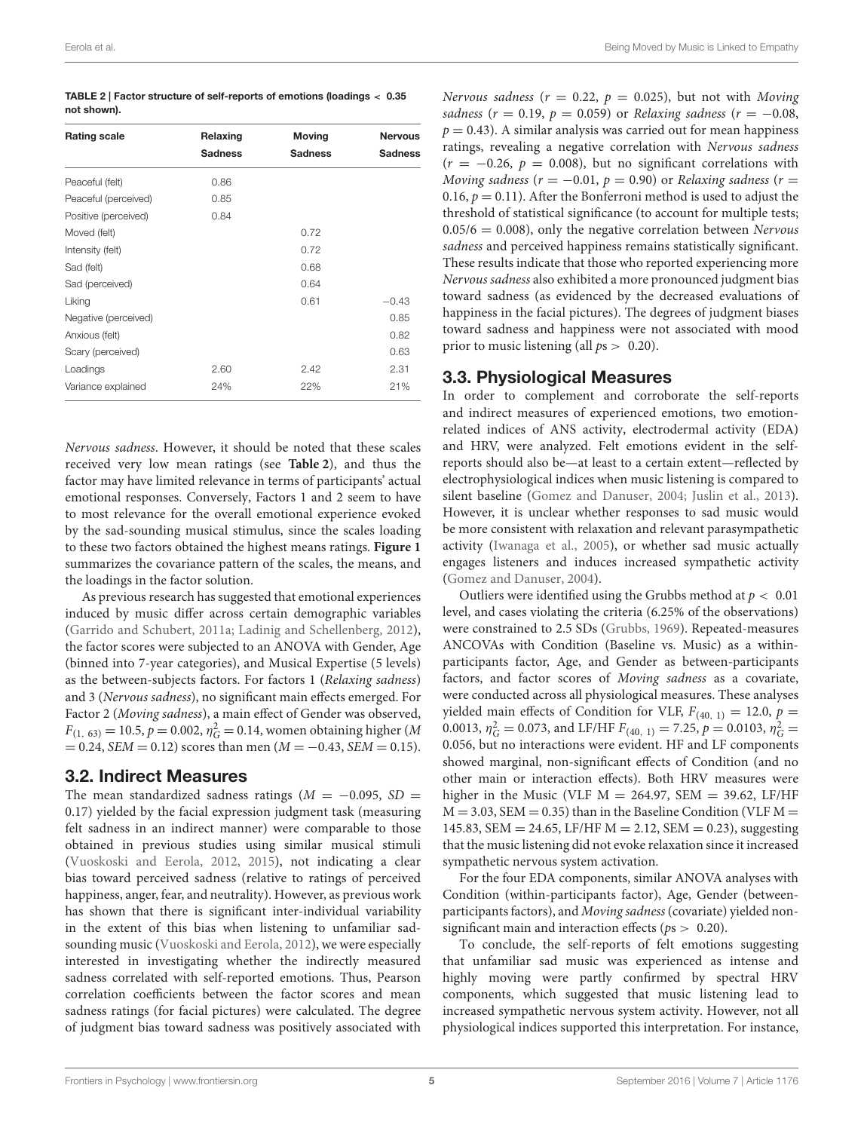Eerola et al. **Being Moved by Music is Linked to Empathy** Being Moved by Music is Linked to Empathy

<span id="page-4-0"></span>

| TABLE 2   Factor structure of self-reports of emotions (loadings $< 0.35$ |  |
|---------------------------------------------------------------------------|--|
| not shown).                                                               |  |

| <b>Rating scale</b>  | Relaxing       | <b>Moving</b>  | <b>Nervous</b> |  |
|----------------------|----------------|----------------|----------------|--|
|                      | <b>Sadness</b> | <b>Sadness</b> | <b>Sadness</b> |  |
| Peaceful (felt)      | 0.86           |                |                |  |
| Peaceful (perceived) | 0.85           |                |                |  |
| Positive (perceived) | 0.84           |                |                |  |
| Moved (felt)         |                | 0.72           |                |  |
| Intensity (felt)     |                | 0.72           |                |  |
| Sad (felt)           |                | 0.68           |                |  |
| Sad (perceived)      |                | 0.64           |                |  |
| Liking               |                | 0.61           | $-0.43$        |  |
| Negative (perceived) |                |                | 0.85           |  |
| Anxious (felt)       |                |                | 0.82           |  |
| Scary (perceived)    |                |                | 0.63           |  |
| Loadings             | 2.60           | 2.42           | 2.31           |  |
| Variance explained   | 24%            | 22%            | 21%            |  |

Nervous sadness. However, it should be noted that these scales received very low mean ratings (see **[Table 2](#page-4-0)**), and thus the factor may have limited relevance in terms of participants' actual emotional responses. Conversely, Factors 1 and 2 seem to have to most relevance for the overall emotional experience evoked by the sad-sounding musical stimulus, since the scales loading to these two factors obtained the highest means ratings. **[Figure 1](#page-5-0)** summarizes the covariance pattern of the scales, the means, and the loadings in the factor solution.

As previous research has suggested that emotional experiences induced by music differ across certain demographic variables [\(Garrido and Schubert, 2011a;](#page-10-12) [Ladinig and Schellenberg, 2012\)](#page-10-23), the factor scores were subjected to an ANOVA with Gender, Age (binned into 7-year categories), and Musical Expertise (5 levels) as the between-subjects factors. For factors 1 (Relaxing sadness) and 3 (Nervous sadness), no significant main effects emerged. For Factor 2 (Moving sadness), a main effect of Gender was observed,  $F_{(1, 63)} = 10.5, p = 0.002, \eta_G^2 = 0.14$ , women obtaining higher (*M*  $= 0.24$ , SEM  $= 0.12$ ) scores than men (M  $= -0.43$ , SEM  $= 0.15$ ).

## 3.2. Indirect Measures

The mean standardized sadness ratings  $(M = -0.095, SD =$ 0.17) yielded by the facial expression judgment task (measuring felt sadness in an indirect manner) were comparable to those obtained in previous studies using similar musical stimuli [\(Vuoskoski and Eerola, 2012,](#page-11-5) [2015\)](#page-11-12), not indicating a clear bias toward perceived sadness (relative to ratings of perceived happiness, anger, fear, and neutrality). However, as previous work has shown that there is significant inter-individual variability in the extent of this bias when listening to unfamiliar sadsounding music [\(Vuoskoski and Eerola, 2012\)](#page-11-5), we were especially interested in investigating whether the indirectly measured sadness correlated with self-reported emotions. Thus, Pearson correlation coefficients between the factor scores and mean sadness ratings (for facial pictures) were calculated. The degree of judgment bias toward sadness was positively associated with

Nervous sadness ( $r = 0.22$ ,  $p = 0.025$ ), but not with Moving sadness ( $r = 0.19$ ,  $p = 0.059$ ) or Relaxing sadness ( $r = -0.08$ ,  $p = 0.43$ ). A similar analysis was carried out for mean happiness ratings, revealing a negative correlation with Nervous sadness  $(r = -0.26, p = 0.008)$ , but no significant correlations with Moving sadness ( $r = -0.01$ ,  $p = 0.90$ ) or Relaxing sadness ( $r =$ 0.16,  $p = 0.11$ ). After the Bonferroni method is used to adjust the threshold of statistical significance (to account for multiple tests;  $0.05/6 = 0.008$ , only the negative correlation between Nervous sadness and perceived happiness remains statistically significant. These results indicate that those who reported experiencing more Nervous sadness also exhibited a more pronounced judgment bias toward sadness (as evidenced by the decreased evaluations of happiness in the facial pictures). The degrees of judgment biases toward sadness and happiness were not associated with mood prior to music listening (all  $ps > 0.20$ ).

## 3.3. Physiological Measures

In order to complement and corroborate the self-reports and indirect measures of experienced emotions, two emotionrelated indices of ANS activity, electrodermal activity (EDA) and HRV, were analyzed. Felt emotions evident in the selfreports should also be—at least to a certain extent—reflected by electrophysiological indices when music listening is compared to silent baseline [\(Gomez and Danuser, 2004;](#page-10-16) [Juslin et al., 2013\)](#page-10-17). However, it is unclear whether responses to sad music would be more consistent with relaxation and relevant parasympathetic activity [\(Iwanaga et al., 2005\)](#page-10-26), or whether sad music actually engages listeners and induces increased sympathetic activity [\(Gomez and Danuser, 2004\)](#page-10-16).

Outliers were identified using the Grubbs method at  $p < 0.01$ level, and cases violating the criteria (6.25% of the observations) were constrained to 2.5 SDs [\(Grubbs, 1969\)](#page-10-27). Repeated-measures ANCOVAs with Condition (Baseline vs. Music) as a withinparticipants factor, Age, and Gender as between-participants factors, and factor scores of Moving sadness as a covariate, were conducted across all physiological measures. These analyses yielded main effects of Condition for VLF,  $F_{(40, 1)} = 12.0$ ,  $p =$ 0.0013,  $\eta_G^2 = 0.073$ , and LF/HF  $F_{(40, 1)} = 7.25$ ,  $p = 0.0103$ ,  $\eta_G^2 =$ 0.056, but no interactions were evident. HF and LF components showed marginal, non-significant effects of Condition (and no other main or interaction effects). Both HRV measures were higher in the Music (VLF  $M = 264.97$ , SEM = 39.62, LF/HF  $M = 3.03$ , SEM = 0.35) than in the Baseline Condition (VLF M = 145.83, SEM = 24.65, LF/HF  $M = 2.12$ , SEM = 0.23), suggesting that the music listening did not evoke relaxation since it increased sympathetic nervous system activation.

For the four EDA components, similar ANOVA analyses with Condition (within-participants factor), Age, Gender (betweenparticipants factors), and Moving sadness (covariate) yielded nonsignificant main and interaction effects ( $ps > 0.20$ ).

To conclude, the self-reports of felt emotions suggesting that unfamiliar sad music was experienced as intense and highly moving were partly confirmed by spectral HRV components, which suggested that music listening lead to increased sympathetic nervous system activity. However, not all physiological indices supported this interpretation. For instance,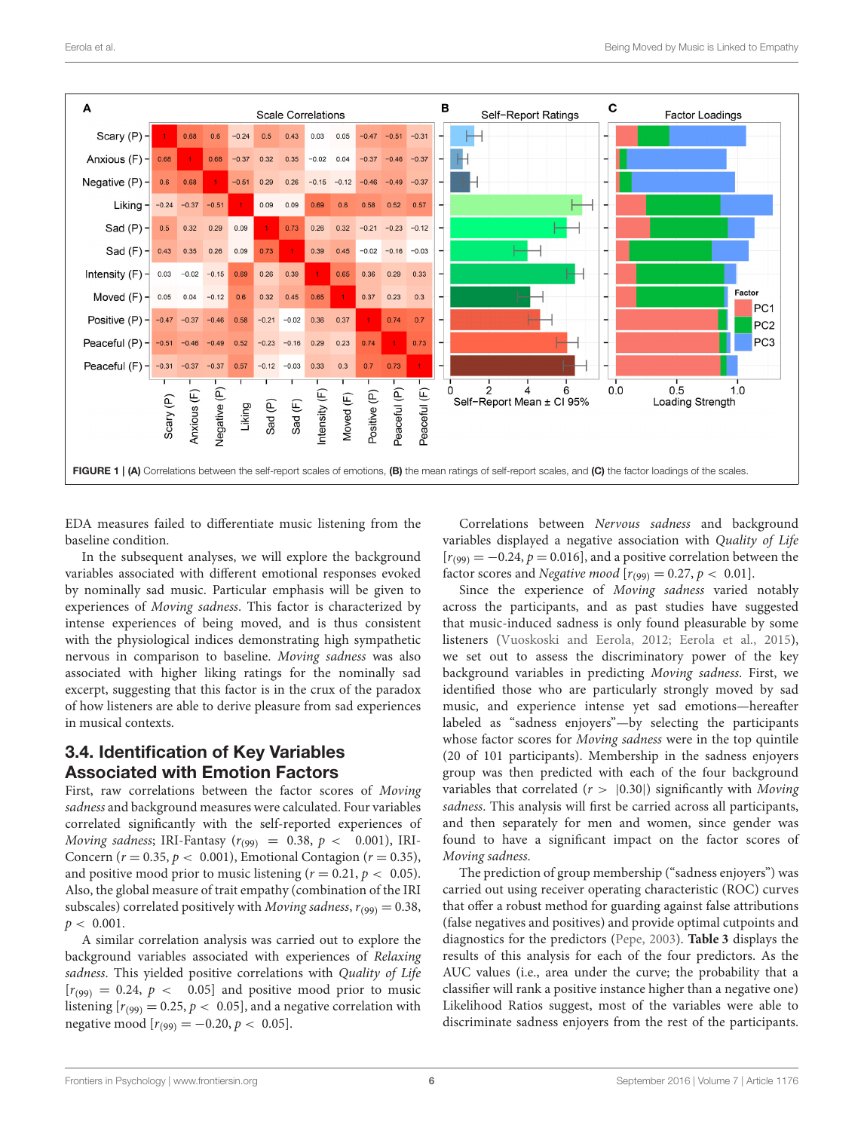

<span id="page-5-0"></span>EDA measures failed to differentiate music listening from the baseline condition.

In the subsequent analyses, we will explore the background variables associated with different emotional responses evoked by nominally sad music. Particular emphasis will be given to experiences of Moving sadness. This factor is characterized by intense experiences of being moved, and is thus consistent with the physiological indices demonstrating high sympathetic nervous in comparison to baseline. Moving sadness was also associated with higher liking ratings for the nominally sad excerpt, suggesting that this factor is in the crux of the paradox of how listeners are able to derive pleasure from sad experiences in musical contexts.

# 3.4. Identification of Key Variables Associated with Emotion Factors

First, raw correlations between the factor scores of Moving sadness and background measures were calculated. Four variables correlated significantly with the self-reported experiences of Moving sadness; IRI-Fantasy ( $r_{(99)}$  = 0.38,  $p$  < 0.001), IRI-Concern ( $r = 0.35$ ,  $p < 0.001$ ), Emotional Contagion ( $r = 0.35$ ), and positive mood prior to music listening  $(r = 0.21, p < 0.05)$ . Also, the global measure of trait empathy (combination of the IRI subscales) correlated positively with Moving sadness,  $r_{(99)} = 0.38$ ,  $p < 0.001$ .

A similar correlation analysis was carried out to explore the background variables associated with experiences of Relaxing sadness. This yielded positive correlations with Quality of Life  $[r_{(99)} = 0.24, p < 0.05]$  and positive mood prior to music listening  $[r_{(99)} = 0.25, p < 0.05]$ , and a negative correlation with negative mood  $[r_{(99)} = -0.20, p < 0.05]$ .

Correlations between Nervous sadness and background variables displayed a negative association with Quality of Life  $[r(99) = -0.24, p = 0.016]$ , and a positive correlation between the factor scores and Negative mood  $[r_{(99)} = 0.27, p < 0.01]$ .

Since the experience of Moving sadness varied notably across the participants, and as past studies have suggested that music-induced sadness is only found pleasurable by some listeners [\(Vuoskoski and Eerola, 2012;](#page-11-5) [Eerola et al., 2015\)](#page-9-10), we set out to assess the discriminatory power of the key background variables in predicting Moving sadness. First, we identified those who are particularly strongly moved by sad music, and experience intense yet sad emotions—hereafter labeled as "sadness enjoyers"—by selecting the participants whose factor scores for Moving sadness were in the top quintile (20 of 101 participants). Membership in the sadness enjoyers group was then predicted with each of the four background variables that correlated ( $r$  >  $|0.30|$ ) significantly with Moving sadness. This analysis will first be carried across all participants, and then separately for men and women, since gender was found to have a significant impact on the factor scores of Moving sadness.

The prediction of group membership ("sadness enjoyers") was carried out using receiver operating characteristic (ROC) curves that offer a robust method for guarding against false attributions (false negatives and positives) and provide optimal cutpoints and diagnostics for the predictors [\(Pepe, 2003\)](#page-10-28). **[Table 3](#page-6-0)** displays the results of this analysis for each of the four predictors. As the AUC values (i.e., area under the curve; the probability that a classifier will rank a positive instance higher than a negative one) Likelihood Ratios suggest, most of the variables were able to discriminate sadness enjoyers from the rest of the participants.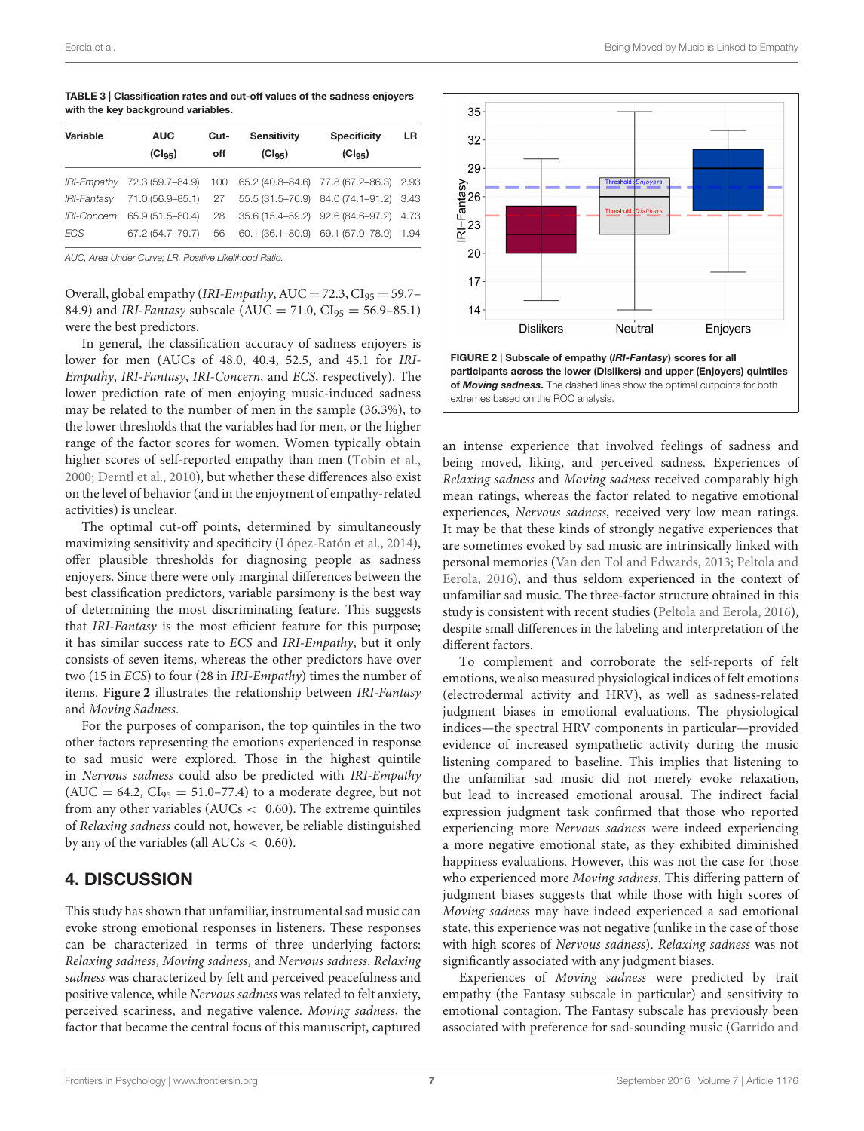<span id="page-6-0"></span>TABLE 3 | Classification rates and cut-off values of the sadness enjoyers with the key background variables.

| Variable           | <b>AUC</b>       | Cut- | <b>Sensitivity</b>                             | <b>Specificity</b>                | LR   |
|--------------------|------------------|------|------------------------------------------------|-----------------------------------|------|
|                    | $(CI_{95})$      | off  | (Cl <sub>95</sub> )                            | $(Cl_{95})$                       |      |
| <b>IRI-Empathy</b> | 72.3 (59.7–84.9) |      | 100 65.2 (40.8–84.6) 77.8 (67.2–86.3)          |                                   | 2.93 |
| <b>IRI-Fantasv</b> | 71.0 (56.9–85.1) |      | 27  55.5  (31.5-76.9)  84.0  (74.1-91.2)  3.43 |                                   |      |
| <i>IRI-Concern</i> | 65.9 (51.5-80.4) | 28   | 35.6 (15.4–59.2) 92.6 (84.6–97.2)              |                                   | 4.73 |
| ECS                | 67.2 (54.7-79.7) | 56   |                                                | 60.1 (36.1-80.9) 69.1 (57.9-78.9) | 1.94 |

AUC, Area Under Curve; LR, Positive Likelihood Ratio.

Overall, global empathy (IRI-Empathy, AUC = 72.3,  $CI_{95} = 59.7$ -84.9) and *IRI-Fantasy* subscale ( $AUC = 71.0$ ,  $CI_{95} = 56.9 - 85.1$ ) were the best predictors.

In general, the classification accuracy of sadness enjoyers is lower for men (AUCs of 48.0, 40.4, 52.5, and 45.1 for IRI-Empathy, IRI-Fantasy, IRI-Concern, and ECS, respectively). The lower prediction rate of men enjoying music-induced sadness may be related to the number of men in the sample (36.3%), to the lower thresholds that the variables had for men, or the higher range of the factor scores for women. Women typically obtain higher scores of self-reported empathy than men [\(Tobin et al.,](#page-11-18) [2000;](#page-11-18) [Derntl et al., 2010\)](#page-9-12), but whether these differences also exist on the level of behavior (and in the enjoyment of empathy-related activities) is unclear.

The optimal cut-off points, determined by simultaneously maximizing sensitivity and specificity [\(López-Ratón et al., 2014\)](#page-10-29), offer plausible thresholds for diagnosing people as sadness enjoyers. Since there were only marginal differences between the best classification predictors, variable parsimony is the best way of determining the most discriminating feature. This suggests that IRI-Fantasy is the most efficient feature for this purpose; it has similar success rate to ECS and IRI-Empathy, but it only consists of seven items, whereas the other predictors have over two (15 in ECS) to four (28 in IRI-Empathy) times the number of items. **[Figure 2](#page-6-1)** illustrates the relationship between IRI-Fantasy and Moving Sadness.

For the purposes of comparison, the top quintiles in the two other factors representing the emotions experienced in response to sad music were explored. Those in the highest quintile in Nervous sadness could also be predicted with IRI-Empathy  $(AUC = 64.2, CI<sub>95</sub> = 51.0-77.4)$  to a moderate degree, but not from any other variables ( $AUCs < 0.60$ ). The extreme quintiles of Relaxing sadness could not, however, be reliable distinguished by any of the variables (all  $AUCs < 0.60$ ).

# 4. DISCUSSION

This study has shown that unfamiliar, instrumental sad music can evoke strong emotional responses in listeners. These responses can be characterized in terms of three underlying factors: Relaxing sadness, Moving sadness, and Nervous sadness. Relaxing sadness was characterized by felt and perceived peacefulness and positive valence, while Nervous sadness was related to felt anxiety, perceived scariness, and negative valence. Moving sadness, the factor that became the central focus of this manuscript, captured



<span id="page-6-1"></span>an intense experience that involved feelings of sadness and being moved, liking, and perceived sadness. Experiences of Relaxing sadness and Moving sadness received comparably high mean ratings, whereas the factor related to negative emotional experiences, Nervous sadness, received very low mean ratings. It may be that these kinds of strongly negative experiences that are sometimes evoked by sad music are intrinsically linked with personal memories [\(Van den Tol and Edwards, 2013;](#page-11-7) Peltola and Eerola, [2016\)](#page-10-3), and thus seldom experienced in the context of unfamiliar sad music. The three-factor structure obtained in this study is consistent with recent studies [\(Peltola and Eerola, 2016\)](#page-10-3), despite small differences in the labeling and interpretation of the different factors.

To complement and corroborate the self-reports of felt emotions, we also measured physiological indices of felt emotions (electrodermal activity and HRV), as well as sadness-related judgment biases in emotional evaluations. The physiological indices—the spectral HRV components in particular—provided evidence of increased sympathetic activity during the music listening compared to baseline. This implies that listening to the unfamiliar sad music did not merely evoke relaxation, but lead to increased emotional arousal. The indirect facial expression judgment task confirmed that those who reported experiencing more Nervous sadness were indeed experiencing a more negative emotional state, as they exhibited diminished happiness evaluations. However, this was not the case for those who experienced more Moving sadness. This differing pattern of judgment biases suggests that while those with high scores of Moving sadness may have indeed experienced a sad emotional state, this experience was not negative (unlike in the case of those with high scores of Nervous sadness). Relaxing sadness was not significantly associated with any judgment biases.

Experiences of Moving sadness were predicted by trait empathy (the Fantasy subscale in particular) and sensitivity to emotional contagion. The Fantasy subscale has previously been associated with preference for sad-sounding music (Garrido and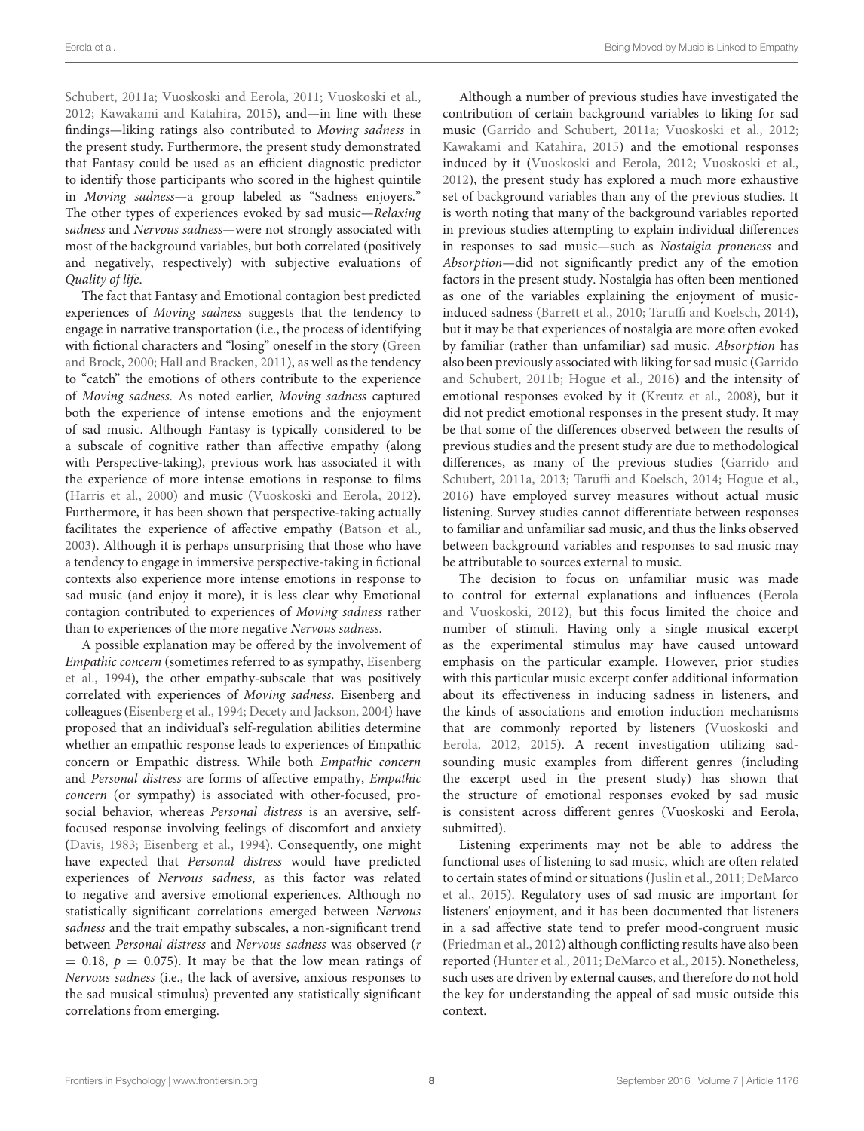Schubert, [2011a;](#page-10-12) [Vuoskoski and Eerola, 2011;](#page-11-9) [Vuoskoski et al.,](#page-11-10) [2012;](#page-11-10) [Kawakami and Katahira, 2015\)](#page-10-30), and—in line with these findings—liking ratings also contributed to Moving sadness in the present study. Furthermore, the present study demonstrated that Fantasy could be used as an efficient diagnostic predictor to identify those participants who scored in the highest quintile in Moving sadness—a group labeled as "Sadness enjoyers." The other types of experiences evoked by sad music—Relaxing sadness and Nervous sadness—were not strongly associated with most of the background variables, but both correlated (positively and negatively, respectively) with subjective evaluations of Quality of life.

The fact that Fantasy and Emotional contagion best predicted experiences of Moving sadness suggests that the tendency to engage in narrative transportation (i.e., the process of identifying with fictional characters and "losing" oneself in the story (Green and Brock, [2000;](#page-10-31) [Hall and Bracken, 2011\)](#page-10-32), as well as the tendency to "catch" the emotions of others contribute to the experience of Moving sadness. As noted earlier, Moving sadness captured both the experience of intense emotions and the enjoyment of sad music. Although Fantasy is typically considered to be a subscale of cognitive rather than affective empathy (along with Perspective-taking), previous work has associated it with the experience of more intense emotions in response to films [\(Harris et al., 2000\)](#page-10-33) and music [\(Vuoskoski and Eerola, 2012\)](#page-11-5). Furthermore, it has been shown that perspective-taking actually facilitates the experience of affective empathy [\(Batson et al.,](#page-9-13) [2003\)](#page-9-13). Although it is perhaps unsurprising that those who have a tendency to engage in immersive perspective-taking in fictional contexts also experience more intense emotions in response to sad music (and enjoy it more), it is less clear why Emotional contagion contributed to experiences of Moving sadness rather than to experiences of the more negative Nervous sadness.

A possible explanation may be offered by the involvement of Empathic concern (sometimes referred to as sympathy, Eisenberg et al., [1994\)](#page-10-13), the other empathy-subscale that was positively correlated with experiences of Moving sadness. Eisenberg and colleagues [\(Eisenberg et al., 1994;](#page-10-13) [Decety and Jackson, 2004\)](#page-9-14) have proposed that an individual's self-regulation abilities determine whether an empathic response leads to experiences of Empathic concern or Empathic distress. While both Empathic concern and Personal distress are forms of affective empathy, Empathic concern (or sympathy) is associated with other-focused, prosocial behavior, whereas Personal distress is an aversive, selffocused response involving feelings of discomfort and anxiety [\(Davis, 1983;](#page-9-7) [Eisenberg et al., 1994\)](#page-10-13). Consequently, one might have expected that Personal distress would have predicted experiences of Nervous sadness, as this factor was related to negative and aversive emotional experiences. Although no statistically significant correlations emerged between Nervous sadness and the trait empathy subscales, a non-significant trend between Personal distress and Nervous sadness was observed (r  $= 0.18$ ,  $p = 0.075$ ). It may be that the low mean ratings of Nervous sadness (i.e., the lack of aversive, anxious responses to the sad musical stimulus) prevented any statistically significant correlations from emerging.

Although a number of previous studies have investigated the contribution of certain background variables to liking for sad music [\(Garrido and Schubert, 2011a;](#page-10-12) [Vuoskoski et al., 2012;](#page-11-10) [Kawakami and Katahira, 2015\)](#page-10-30) and the emotional responses induced by it [\(Vuoskoski and Eerola, 2012;](#page-11-5) [Vuoskoski et al.,](#page-11-10) [2012\)](#page-11-10), the present study has explored a much more exhaustive set of background variables than any of the previous studies. It is worth noting that many of the background variables reported in previous studies attempting to explain individual differences in responses to sad music—such as Nostalgia proneness and Absorption—did not significantly predict any of the emotion factors in the present study. Nostalgia has often been mentioned as one of the variables explaining the enjoyment of musicinduced sadness [\(Barrett et al., 2010;](#page-9-9) [Taruffi and Koelsch, 2014\)](#page-11-4), but it may be that experiences of nostalgia are more often evoked by familiar (rather than unfamiliar) sad music. Absorption has also been previously associated with liking for sad music (Garrido and Schubert, [2011b;](#page-10-5) [Hogue et al., 2016\)](#page-10-34) and the intensity of emotional responses evoked by it [\(Kreutz et al., 2008\)](#page-10-35), but it did not predict emotional responses in the present study. It may be that some of the differences observed between the results of previous studies and the present study are due to methodological differences, as many of the previous studies (Garrido and Schubert, [2011a,](#page-10-12) [2013;](#page-10-25) [Taruffi and Koelsch, 2014;](#page-11-4) [Hogue et al.,](#page-10-34) [2016\)](#page-10-34) have employed survey measures without actual music listening. Survey studies cannot differentiate between responses to familiar and unfamiliar sad music, and thus the links observed between background variables and responses to sad music may be attributable to sources external to music.

The decision to focus on unfamiliar music was made to control for external explanations and influences (Eerola and Vuoskoski, [2012\)](#page-9-15), but this focus limited the choice and number of stimuli. Having only a single musical excerpt as the experimental stimulus may have caused untoward emphasis on the particular example. However, prior studies with this particular music excerpt confer additional information about its effectiveness in inducing sadness in listeners, and the kinds of associations and emotion induction mechanisms that are commonly reported by listeners (Vuoskoski and Eerola, [2012,](#page-11-5) [2015\)](#page-11-12). A recent investigation utilizing sadsounding music examples from different genres (including the excerpt used in the present study) has shown that the structure of emotional responses evoked by sad music is consistent across different genres (Vuoskoski and Eerola, submitted).

Listening experiments may not be able to address the functional uses of listening to sad music, which are often related to certain states of mind or situations [\(Juslin et al., 2011;](#page-10-2) DeMarco et al., [2015\)](#page-9-16). Regulatory uses of sad music are important for listeners' enjoyment, and it has been documented that listeners in a sad affective state tend to prefer mood-congruent music [\(Friedman et al., 2012\)](#page-10-36) although conflicting results have also been reported [\(Hunter et al., 2011;](#page-10-6) [DeMarco et al., 2015\)](#page-9-16). Nonetheless, such uses are driven by external causes, and therefore do not hold the key for understanding the appeal of sad music outside this context.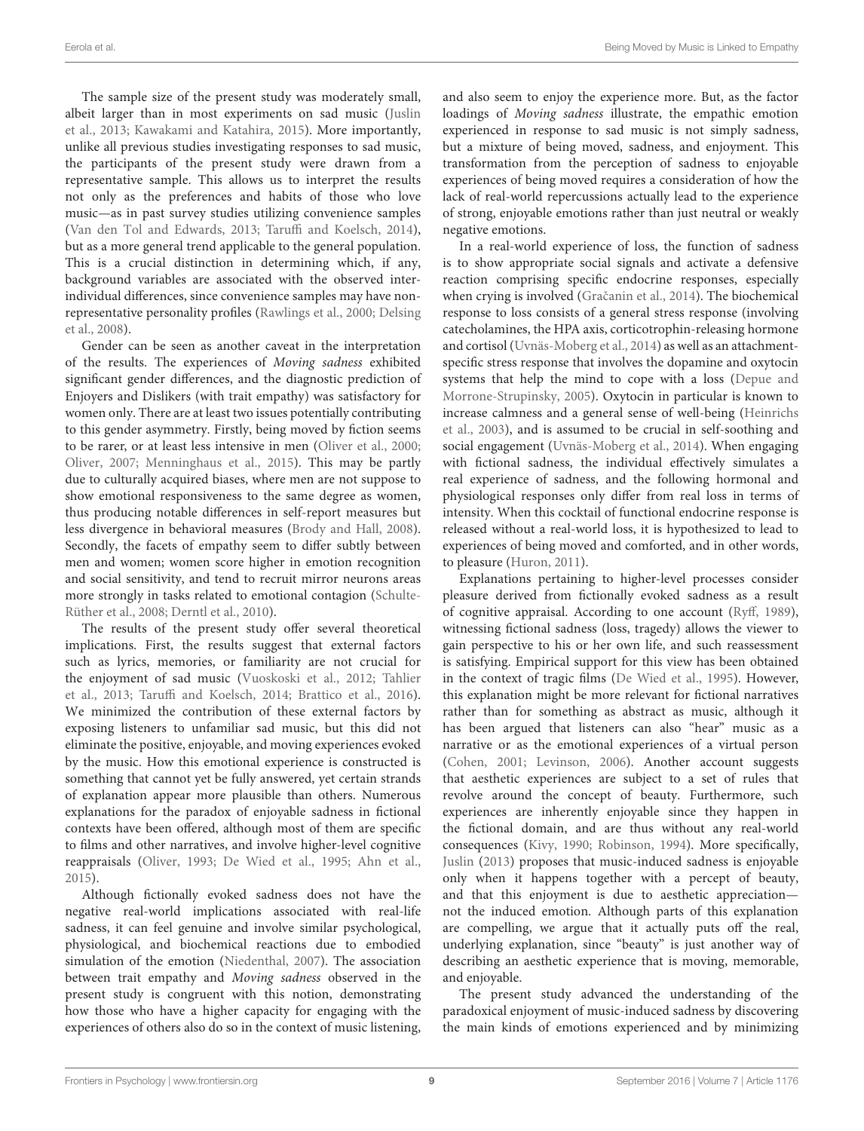The sample size of the present study was moderately small, albeit larger than in most experiments on sad music (Juslin et al., [2013;](#page-10-17) [Kawakami and Katahira, 2015\)](#page-10-30). More importantly, unlike all previous studies investigating responses to sad music, the participants of the present study were drawn from a representative sample. This allows us to interpret the results not only as the preferences and habits of those who love music—as in past survey studies utilizing convenience samples [\(Van den Tol and Edwards, 2013;](#page-11-7) [Taruffi and Koelsch, 2014\)](#page-11-4), but as a more general trend applicable to the general population. This is a crucial distinction in determining which, if any, background variables are associated with the observed interindividual differences, since convenience samples may have nonrepresentative personality profiles [\(Rawlings et al., 2000;](#page-10-37) Delsing et al., [2008\)](#page-9-17).

Gender can be seen as another caveat in the interpretation of the results. The experiences of Moving sadness exhibited significant gender differences, and the diagnostic prediction of Enjoyers and Dislikers (with trait empathy) was satisfactory for women only. There are at least two issues potentially contributing to this gender asymmetry. Firstly, being moved by fiction seems to be rarer, or at least less intensive in men [\(Oliver et al., 2000;](#page-10-38) [Oliver, 2007;](#page-10-39) [Menninghaus et al., 2015\)](#page-10-40). This may be partly due to culturally acquired biases, where men are not suppose to show emotional responsiveness to the same degree as women, thus producing notable differences in self-report measures but less divergence in behavioral measures [\(Brody and Hall, 2008\)](#page-9-18). Secondly, the facets of empathy seem to differ subtly between men and women; women score higher in emotion recognition and social sensitivity, and tend to recruit mirror neurons areas more strongly in tasks related to emotional contagion (Schulte-Rüther et al., [2008;](#page-11-19) [Derntl et al., 2010\)](#page-9-12).

The results of the present study offer several theoretical implications. First, the results suggest that external factors such as lyrics, memories, or familiarity are not crucial for the enjoyment of sad music [\(Vuoskoski et al., 2012;](#page-11-10) Tahlier et al., [2013;](#page-11-6) [Taruffi and Koelsch, 2014;](#page-11-4) [Brattico et al., 2016\)](#page-9-19). We minimized the contribution of these external factors by exposing listeners to unfamiliar sad music, but this did not eliminate the positive, enjoyable, and moving experiences evoked by the music. How this emotional experience is constructed is something that cannot yet be fully answered, yet certain strands of explanation appear more plausible than others. Numerous explanations for the paradox of enjoyable sadness in fictional contexts have been offered, although most of them are specific to films and other narratives, and involve higher-level cognitive reappraisals [\(Oliver, 1993;](#page-10-41) [De Wied et al., 1995;](#page-9-20) [Ahn et al.,](#page-9-21) [2015\)](#page-9-21).

Although fictionally evoked sadness does not have the negative real-world implications associated with real-life sadness, it can feel genuine and involve similar psychological, physiological, and biochemical reactions due to embodied simulation of the emotion [\(Niedenthal, 2007\)](#page-10-42). The association between trait empathy and Moving sadness observed in the present study is congruent with this notion, demonstrating how those who have a higher capacity for engaging with the experiences of others also do so in the context of music listening, and also seem to enjoy the experience more. But, as the factor loadings of Moving sadness illustrate, the empathic emotion experienced in response to sad music is not simply sadness, but a mixture of being moved, sadness, and enjoyment. This transformation from the perception of sadness to enjoyable experiences of being moved requires a consideration of how the lack of real-world repercussions actually lead to the experience of strong, enjoyable emotions rather than just neutral or weakly negative emotions.

In a real-world experience of loss, the function of sadness is to show appropriate social signals and activate a defensive reaction comprising specific endocrine responses, especially when crying is involved (Gračanin et al., 2014). The biochemical response to loss consists of a general stress response (involving catecholamines, the HPA axis, corticotrophin-releasing hormone and cortisol [\(Uvnäs-Moberg et al., 2014\)](#page-11-20) as well as an attachmentspecific stress response that involves the dopamine and oxytocin systems that help the mind to cope with a loss (Depue and Morrone-Strupinsky, [2005\)](#page-9-22). Oxytocin in particular is known to increase calmness and a general sense of well-being (Heinrichs et al., [2003\)](#page-10-44), and is assumed to be crucial in self-soothing and social engagement [\(Uvnäs-Moberg et al., 2014\)](#page-11-20). When engaging with fictional sadness, the individual effectively simulates a real experience of sadness, and the following hormonal and physiological responses only differ from real loss in terms of intensity. When this cocktail of functional endocrine response is released without a real-world loss, it is hypothesized to lead to experiences of being moved and comforted, and in other words, to pleasure [\(Huron, 2011\)](#page-10-45).

Explanations pertaining to higher-level processes consider pleasure derived from fictionally evoked sadness as a result of cognitive appraisal. According to one account [\(Ryff, 1989\)](#page-11-21), witnessing fictional sadness (loss, tragedy) allows the viewer to gain perspective to his or her own life, and such reassessment is satisfying. Empirical support for this view has been obtained in the context of tragic films [\(De Wied et al., 1995\)](#page-9-20). However, this explanation might be more relevant for fictional narratives rather than for something as abstract as music, although it has been argued that listeners can also "hear" music as a narrative or as the emotional experiences of a virtual person [\(Cohen, 2001;](#page-9-23) [Levinson, 2006\)](#page-10-46). Another account suggests that aesthetic experiences are subject to a set of rules that revolve around the concept of beauty. Furthermore, such experiences are inherently enjoyable since they happen in the fictional domain, and are thus without any real-world consequences [\(Kivy, 1990;](#page-10-47) [Robinson, 1994\)](#page-11-22). More specifically, [Juslin](#page-10-10) [\(2013\)](#page-10-10) proposes that music-induced sadness is enjoyable only when it happens together with a percept of beauty, and that this enjoyment is due to aesthetic appreciation not the induced emotion. Although parts of this explanation are compelling, we argue that it actually puts off the real, underlying explanation, since "beauty" is just another way of describing an aesthetic experience that is moving, memorable, and enjoyable.

The present study advanced the understanding of the paradoxical enjoyment of music-induced sadness by discovering the main kinds of emotions experienced and by minimizing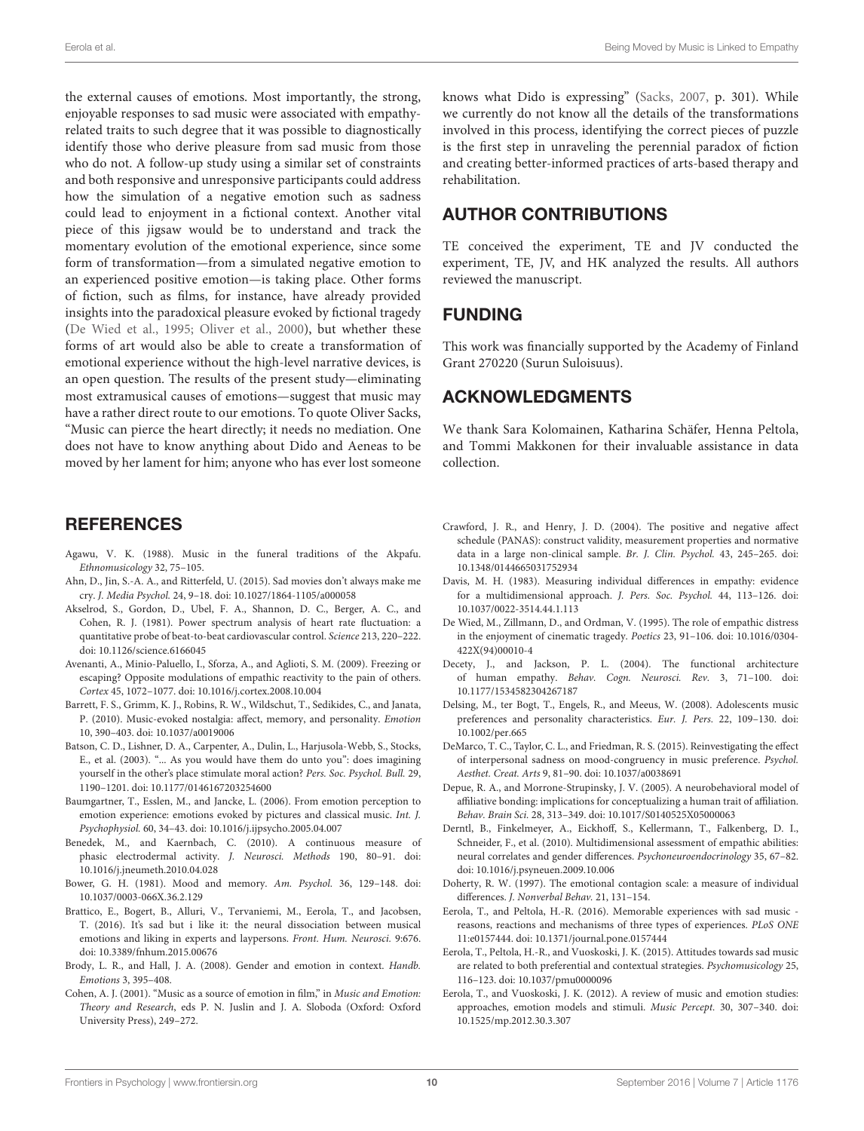the external causes of emotions. Most importantly, the strong, enjoyable responses to sad music were associated with empathyrelated traits to such degree that it was possible to diagnostically identify those who derive pleasure from sad music from those who do not. A follow-up study using a similar set of constraints and both responsive and unresponsive participants could address how the simulation of a negative emotion such as sadness could lead to enjoyment in a fictional context. Another vital piece of this jigsaw would be to understand and track the momentary evolution of the emotional experience, since some form of transformation—from a simulated negative emotion to an experienced positive emotion—is taking place. Other forms of fiction, such as films, for instance, have already provided insights into the paradoxical pleasure evoked by fictional tragedy [\(De Wied et al., 1995;](#page-9-20) [Oliver et al., 2000\)](#page-10-38), but whether these forms of art would also be able to create a transformation of emotional experience without the high-level narrative devices, is an open question. The results of the present study—eliminating most extramusical causes of emotions—suggest that music may have a rather direct route to our emotions. To quote Oliver Sacks, "Music can pierce the heart directly; it needs no mediation. One does not have to know anything about Dido and Aeneas to be moved by her lament for him; anyone who has ever lost someone

## **REFERENCES**

- <span id="page-9-1"></span>Agawu, V. K. (1988). Music in the funeral traditions of the Akpafu. Ethnomusicology 32, 75–105.
- <span id="page-9-21"></span>Ahn, D., Jin, S.-A. A., and Ritterfeld, U. (2015). Sad movies don't always make me cry. J. Media Psychol. 24, 9–18. doi: 10.1027/1864-1105/a000058
- <span id="page-9-6"></span>Akselrod, S., Gordon, D., Ubel, F. A., Shannon, D. C., Berger, A. C., and Cohen, R. J. (1981). Power spectrum analysis of heart rate fluctuation: a quantitative probe of beat-to-beat cardiovascular control. Science 213, 220–222. doi: 10.1126/science.6166045
- <span id="page-9-2"></span>Avenanti, A., Minio-Paluello, I., Sforza, A., and Aglioti, S. M. (2009). Freezing or escaping? Opposite modulations of empathic reactivity to the pain of others. Cortex 45, 1072–1077. doi: 10.1016/j.cortex.2008.10.004
- <span id="page-9-9"></span>Barrett, F. S., Grimm, K. J., Robins, R. W., Wildschut, T., Sedikides, C., and Janata, P. (2010). Music-evoked nostalgia: affect, memory, and personality. Emotion 10, 390–403. doi: 10.1037/a0019006
- <span id="page-9-13"></span>Batson, C. D., Lishner, D. A., Carpenter, A., Dulin, L., Harjusola-Webb, S., Stocks, E., et al. (2003). "... As you would have them do unto you": does imagining yourself in the other's place stimulate moral action? Pers. Soc. Psychol. Bull. 29, 1190–1201. doi: 10.1177/0146167203254600
- <span id="page-9-4"></span>Baumgartner, T., Esslen, M., and Jancke, L. (2006). From emotion perception to emotion experience: emotions evoked by pictures and classical music. Int. J. Psychophysiol. 60, 34–43. doi: 10.1016/j.ijpsycho.2005.04.007
- <span id="page-9-5"></span>Benedek, M., and Kaernbach, C. (2010). A continuous measure of phasic electrodermal activity. J. Neurosci. Methods 190, 80–91. doi: 10.1016/j.jneumeth.2010.04.028
- <span id="page-9-3"></span>Bower, G. H. (1981). Mood and memory. Am. Psychol. 36, 129–148. doi: 10.1037/0003-066X.36.2.129
- <span id="page-9-19"></span>Brattico, E., Bogert, B., Alluri, V., Tervaniemi, M., Eerola, T., and Jacobsen, T. (2016). It's sad but i like it: the neural dissociation between musical emotions and liking in experts and laypersons. Front. Hum. Neurosci. 9:676. doi: 10.3389/fnhum.2015.00676
- <span id="page-9-18"></span>Brody, L. R., and Hall, J. A. (2008). Gender and emotion in context. Handb. Emotions 3, 395–408.
- <span id="page-9-23"></span>Cohen, A. J. (2001). "Music as a source of emotion in film," in Music and Emotion: Theory and Research, eds P. N. Juslin and J. A. Sloboda (Oxford: Oxford University Press), 249–272.

knows what Dido is expressing" [\(Sacks, 2007,](#page-11-8) p. 301). While we currently do not know all the details of the transformations involved in this process, identifying the correct pieces of puzzle is the first step in unraveling the perennial paradox of fiction and creating better-informed practices of arts-based therapy and rehabilitation.

# AUTHOR CONTRIBUTIONS

TE conceived the experiment, TE and JV conducted the experiment, TE, JV, and HK analyzed the results. All authors reviewed the manuscript.

## FUNDING

This work was financially supported by the Academy of Finland Grant 270220 (Surun Suloisuus).

# ACKNOWLEDGMENTS

We thank Sara Kolomainen, Katharina Schäfer, Henna Peltola, and Tommi Makkonen for their invaluable assistance in data collection.

- <span id="page-9-11"></span>Crawford, J. R., and Henry, J. D. (2004). The positive and negative affect schedule (PANAS): construct validity, measurement properties and normative data in a large non-clinical sample. Br. J. Clin. Psychol. 43, 245–265. doi: 10.1348/0144665031752934
- <span id="page-9-7"></span>Davis, M. H. (1983). Measuring individual differences in empathy: evidence for a multidimensional approach. J. Pers. Soc. Psychol. 44, 113–126. doi: 10.1037/0022-3514.44.1.113
- <span id="page-9-20"></span>De Wied, M., Zillmann, D., and Ordman, V. (1995). The role of empathic distress in the enjoyment of cinematic tragedy. Poetics 23, 91–106. doi: 10.1016/0304- 422X(94)00010-4
- <span id="page-9-14"></span>Decety, J., and Jackson, P. L. (2004). The functional architecture of human empathy. Behav. Cogn. Neurosci. Rev. 3, 71–100. doi: 10.1177/1534582304267187
- <span id="page-9-17"></span>Delsing, M., ter Bogt, T., Engels, R., and Meeus, W. (2008). Adolescents music preferences and personality characteristics. Eur. J. Pers. 22, 109–130. doi: 10.1002/per.665
- <span id="page-9-16"></span>DeMarco, T. C., Taylor, C. L., and Friedman, R. S. (2015). Reinvestigating the effect of interpersonal sadness on mood-congruency in music preference. Psychol. Aesthet. Creat. Arts 9, 81–90. doi: 10.1037/a0038691
- <span id="page-9-22"></span>Depue, R. A., and Morrone-Strupinsky, J. V. (2005). A neurobehavioral model of affiliative bonding: implications for conceptualizing a human trait of affiliation. Behav. Brain Sci. 28, 313–349. doi: 10.1017/S0140525X05000063
- <span id="page-9-12"></span>Derntl, B., Finkelmeyer, A., Eickhoff, S., Kellermann, T., Falkenberg, D. I., Schneider, F., et al. (2010). Multidimensional assessment of empathic abilities: neural correlates and gender differences. Psychoneuroendocrinology 35, 67–82. doi: 10.1016/j.psyneuen.2009.10.006
- <span id="page-9-8"></span>Doherty, R. W. (1997). The emotional contagion scale: a measure of individual differences. J. Nonverbal Behav. 21, 131–154.
- <span id="page-9-0"></span>Eerola, T., and Peltola, H.-R. (2016). Memorable experiences with sad music reasons, reactions and mechanisms of three types of experiences. PLoS ONE 11:e0157444. doi: 10.1371/journal.pone.0157444
- <span id="page-9-10"></span>Eerola, T., Peltola, H.-R., and Vuoskoski, J. K. (2015). Attitudes towards sad music are related to both preferential and contextual strategies. Psychomusicology 25, 116–123. doi: 10.1037/pmu0000096
- <span id="page-9-15"></span>Eerola, T., and Vuoskoski, J. K. (2012). A review of music and emotion studies: approaches, emotion models and stimuli. Music Percept. 30, 307–340. doi: 10.1525/mp.2012.30.3.307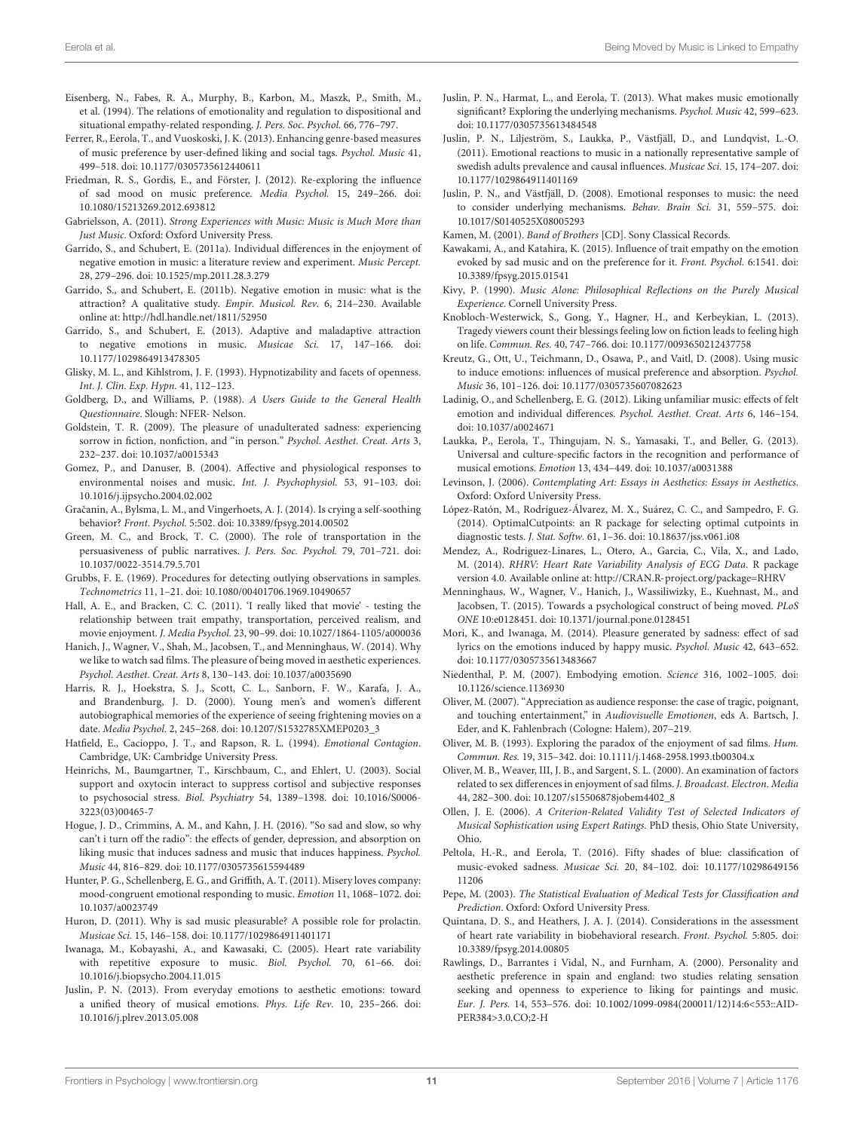- <span id="page-10-13"></span>Eisenberg, N., Fabes, R. A., Murphy, B., Karbon, M., Maszk, P., Smith, M., et al. (1994). The relations of emotionality and regulation to dispositional and situational empathy-related responding. J. Pers. Soc. Psychol. 66, 776–797.
- <span id="page-10-22"></span>Ferrer, R., Eerola, T., and Vuoskoski, J. K. (2013). Enhancing genre-based measures of music preference by user-defined liking and social tags. Psychol. Music 41, 499–518. doi: 10.1177/0305735612440611
- <span id="page-10-36"></span>Friedman, R. S., Gordis, E., and Förster, J. (2012). Re-exploring the influence of sad mood on music preference. Media Psychol. 15, 249–266. doi: 10.1080/15213269.2012.693812
- <span id="page-10-9"></span>Gabrielsson, A. (2011). Strong Experiences with Music: Music is Much More than Just Music. Oxford: Oxford University Press.
- <span id="page-10-12"></span>Garrido, S., and Schubert, E. (2011a). Individual differences in the enjoyment of negative emotion in music: a literature review and experiment. Music Percept. 28, 279–296. doi: 10.1525/mp.2011.28.3.279
- <span id="page-10-5"></span>Garrido, S., and Schubert, E. (2011b). Negative emotion in music: what is the attraction? A qualitative study. Empir. Musicol. Rev. 6, 214–230. Available online at:<http://hdl.handle.net/1811/52950>
- <span id="page-10-25"></span>Garrido, S., and Schubert, E. (2013). Adaptive and maladaptive attraction to negative emotions in music. Musicae Sci. 17, 147–166. doi: 10.1177/1029864913478305
- <span id="page-10-20"></span>Glisky, M. L., and Kihlstrom, J. F. (1993). Hypnotizability and facets of openness. Int. J. Clin. Exp. Hypn. 41, 112–123.
- <span id="page-10-21"></span>Goldberg, D., and Williams, P. (1988). A Users Guide to the General Health Questionnaire. Slough: NFER- Nelson.
- <span id="page-10-1"></span>Goldstein, T. R. (2009). The pleasure of unadulterated sadness: experiencing sorrow in fiction, nonfiction, and "in person." Psychol. Aesthet. Creat. Arts 3, 232–237. doi: 10.1037/a0015343
- <span id="page-10-16"></span>Gomez, P., and Danuser, B. (2004). Affective and physiological responses to environmental noises and music. Int. J. Psychophysiol. 53, 91–103. doi: 10.1016/j.ijpsycho.2004.02.002
- <span id="page-10-43"></span>Gračanin, A., Bylsma, L. M., and Vingerhoets, A. J. (2014). Is crying a self-soothing behavior? Front. Psychol. 5:502. doi: 10.3389/fpsyg.2014.00502
- <span id="page-10-31"></span>Green, M. C., and Brock, T. C. (2000). The role of transportation in the persuasiveness of public narratives. J. Pers. Soc. Psychol. 79, 701–721. doi: 10.1037/0022-3514.79.5.701
- <span id="page-10-27"></span>Grubbs, F. E. (1969). Procedures for detecting outlying observations in samples. Technometrics 11, 1–21. doi: 10.1080/00401706.1969.10490657
- <span id="page-10-32"></span>Hall, A. E., and Bracken, C. C. (2011). 'I really liked that movie' - testing the relationship between trait empathy, transportation, perceived realism, and movie enjoyment. J. Media Psychol. 23, 90–99. doi: 10.1027/1864-1105/a000036
- <span id="page-10-11"></span>Hanich, J., Wagner, V., Shah, M., Jacobsen, T., and Menninghaus, W. (2014). Why we like to watch sad films. The pleasure of being moved in aesthetic experiences. Psychol. Aesthet. Creat. Arts 8, 130–143. doi: 10.1037/a0035690
- <span id="page-10-33"></span>Harris, R. J., Hoekstra, S. J., Scott, C. L., Sanborn, F. W., Karafa, J. A., and Brandenburg, J. D. (2000). Young men's and women's different autobiographical memories of the experience of seeing frightening movies on a date. Media Psychol. 2, 245–268. doi: 10.1207/S1532785XMEP0203\_3
- <span id="page-10-14"></span>Hatfield, E., Cacioppo, J. T., and Rapson, R. L. (1994). Emotional Contagion. Cambridge, UK: Cambridge University Press.
- <span id="page-10-44"></span>Heinrichs, M., Baumgartner, T., Kirschbaum, C., and Ehlert, U. (2003). Social support and oxytocin interact to suppress cortisol and subjective responses to psychosocial stress. Biol. Psychiatry 54, 1389–1398. doi: 10.1016/S0006- 3223(03)00465-7
- <span id="page-10-34"></span>Hogue, J. D., Crimmins, A. M., and Kahn, J. H. (2016). "So sad and slow, so why can't i turn off the radio": the effects of gender, depression, and absorption on liking music that induces sadness and music that induces happiness. Psychol. Music 44, 816–829. doi: 10.1177/0305735615594489
- <span id="page-10-6"></span>Hunter, P. G., Schellenberg, E. G., and Griffith, A. T. (2011). Misery loves company: mood-congruent emotional responding to music. Emotion 11, 1068–1072. doi: 10.1037/a0023749
- <span id="page-10-45"></span>Huron, D. (2011). Why is sad music pleasurable? A possible role for prolactin. Musicae Sci. 15, 146–158. doi: 10.1177/1029864911401171
- <span id="page-10-26"></span>Iwanaga, M., Kobayashi, A., and Kawasaki, C. (2005). Heart rate variability with repetitive exposure to music. Biol. Psychol. 70, 61–66. doi: 10.1016/j.biopsycho.2004.11.015
- <span id="page-10-10"></span>Juslin, P. N. (2013). From everyday emotions to aesthetic emotions: toward a unified theory of musical emotions. Phys. Life Rev. 10, 235–266. doi: 10.1016/j.plrev.2013.05.008
- <span id="page-10-17"></span>Juslin, P. N., Harmat, L., and Eerola, T. (2013). What makes music emotionally significant? Exploring the underlying mechanisms. Psychol. Music 42, 599–623. doi: 10.1177/0305735613484548
- <span id="page-10-2"></span>Juslin, P. N., Liljeström, S., Laukka, P., Västfjäll, D., and Lundqvist, L.-O. (2011). Emotional reactions to music in a nationally representative sample of swedish adults prevalence and causal influences. Musicae Sci. 15, 174–207. doi: 10.1177/1029864911401169
- <span id="page-10-8"></span>Juslin, P. N., and Västfjäll, D. (2008). Emotional responses to music: the need to consider underlying mechanisms. Behav. Brain Sci. 31, 559–575. doi: 10.1017/S0140525X08005293
- <span id="page-10-15"></span>Kamen, M. (2001). Band of Brothers [CD]. Sony Classical Records.
- <span id="page-10-30"></span>Kawakami, A., and Katahira, K. (2015). Influence of trait empathy on the emotion evoked by sad music and on the preference for it. Front. Psychol. 6:1541. doi: 10.3389/fpsyg.2015.01541
- <span id="page-10-47"></span>Kivy, P. (1990). Music Alone: Philosophical Reflections on the Purely Musical Experience. Cornell University Press.
- <span id="page-10-0"></span>Knobloch-Westerwick, S., Gong, Y., Hagner, H., and Kerbeykian, L. (2013). Tragedy viewers count their blessings feeling low on fiction leads to feeling high on life. Commun. Res. 40, 747–766. doi: 10.1177/0093650212437758
- <span id="page-10-35"></span>Kreutz, G., Ott, U., Teichmann, D., Osawa, P., and Vaitl, D. (2008). Using music to induce emotions: influences of musical preference and absorption. Psychol. Music 36, 101–126. doi: 10.1177/0305735607082623
- <span id="page-10-23"></span>Ladinig, O., and Schellenberg, E. G. (2012). Liking unfamiliar music: effects of felt emotion and individual differences. Psychol. Aesthet. Creat. Arts 6, 146–154. doi: 10.1037/a0024671
- <span id="page-10-4"></span>Laukka, P., Eerola, T., Thingujam, N. S., Yamasaki, T., and Beller, G. (2013). Universal and culture-specific factors in the recognition and performance of musical emotions. Emotion 13, 434–449. doi: 10.1037/a0031388
- <span id="page-10-46"></span>Levinson, J. (2006). Contemplating Art: Essays in Aesthetics: Essays in Aesthetics. Oxford: Oxford University Press.
- <span id="page-10-29"></span>López-Ratón, M., Rodríguez-Álvarez, M. X., Suárez, C. C., and Sampedro, F. G. (2014). OptimalCutpoints: an R package for selecting optimal cutpoints in diagnostic tests. J. Stat. Softw. 61, 1–36. doi: 10.18637/jss.v061.i08
- <span id="page-10-19"></span>Mendez, A., Rodriguez-Linares, L., Otero, A., Garcia, C., Vila, X., and Lado, M. (2014). RHRV: Heart Rate Variability Analysis of ECG Data. R package version 4.0. Available online at:<http://CRAN.R-project.org/package=RHRV>
- <span id="page-10-40"></span>Menninghaus, W., Wagner, V., Hanich, J., Wassiliwizky, E., Kuehnast, M., and Jacobsen, T. (2015). Towards a psychological construct of being moved. PLoS ONE 10:e0128451. doi: 10.1371/journal.pone.0128451
- <span id="page-10-7"></span>Mori, K., and Iwanaga, M. (2014). Pleasure generated by sadness: effect of sad lyrics on the emotions induced by happy music. Psychol. Music 42, 643–652. doi: 10.1177/0305735613483667
- <span id="page-10-42"></span>Niedenthal, P. M. (2007). Embodying emotion. Science 316, 1002–1005. doi: 10.1126/science.1136930
- <span id="page-10-39"></span>Oliver, M. (2007). "Appreciation as audience response: the case of tragic, poignant, and touching entertainment," in Audiovisuelle Emotionen, eds A. Bartsch, J. Eder, and K. Fahlenbrach (Cologne: Halem), 207–219.
- <span id="page-10-41"></span>Oliver, M. B. (1993). Exploring the paradox of the enjoyment of sad films. Hum. Commun. Res. 19, 315–342. doi: 10.1111/j.1468-2958.1993.tb00304.x
- <span id="page-10-38"></span>Oliver, M. B., Weaver, III, J. B., and Sargent, S. L. (2000). An examination of factors related to sex differences in enjoyment of sad films. J. Broadcast. Electron. Media 44, 282–300. doi: 10.1207/s15506878jobem4402\_8
- <span id="page-10-24"></span>Ollen, J. E. (2006). A Criterion-Related Validity Test of Selected Indicators of Musical Sophistication using Expert Ratings. PhD thesis, Ohio State University, Ohio.
- <span id="page-10-3"></span>Peltola, H.-R., and Eerola, T. (2016). Fifty shades of blue: classification of music-evoked sadness. Musicae Sci. 20, 84–102. doi: 10.1177/10298649156 11206
- <span id="page-10-28"></span>Pepe, M. (2003). The Statistical Evaluation of Medical Tests for Classification and Prediction. Oxford: Oxford University Press.
- <span id="page-10-18"></span>Quintana, D. S., and Heathers, J. A. J. (2014). Considerations in the assessment of heart rate variability in biobehavioral research. Front. Psychol. 5:805. doi: 10.3389/fpsyg.2014.00805
- <span id="page-10-37"></span>Rawlings, D., Barrantes i Vidal, N., and Furnham, A. (2000). Personality and aesthetic preference in spain and england: two studies relating sensation seeking and openness to experience to liking for paintings and music. Eur. J. Pers. 14, 553–576. doi: 10.1002/1099-0984(200011/12)14:6<553::AID-PER384>3.0.CO;2-H